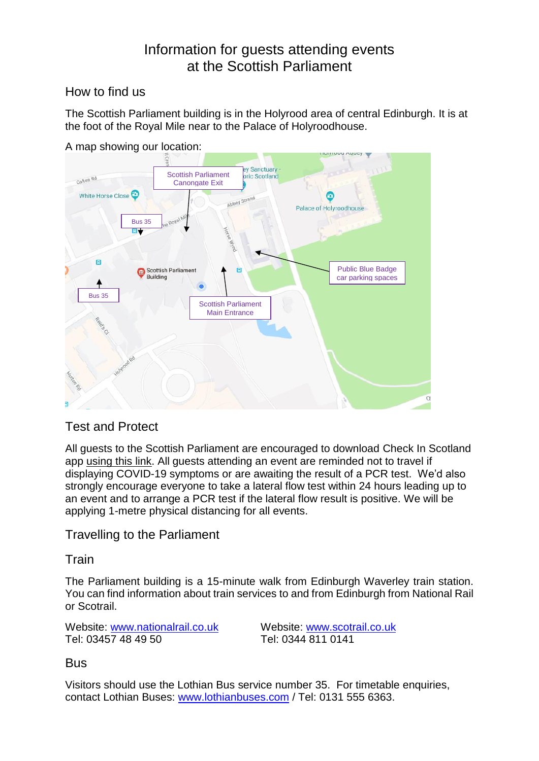# Information for guests attending events at the Scottish Parliament

# How to find us

The Scottish Parliament building is in the Holyrood area of central Edinburgh. It is at the foot of the Royal Mile near to the Palace of Holyroodhouse.



A map showing our location:

# Test and Protect

All guests to the Scottish Parliament are encouraged to download Check In Scotland app [using this link.](https://www.checkin.scot/) All guests attending an event are reminded not to travel if displaying COVID-19 symptoms or are awaiting the result of a PCR test. We'd also strongly encourage everyone to take a lateral flow test within 24 hours leading up to an event and to arrange a PCR test if the lateral flow result is positive. We will be applying 1-metre physical distancing for all events.

# Travelling to the Parliament

## **Train**

The Parliament building is a 15-minute walk from Edinburgh Waverley train station. You can find information about train services to and from Edinburgh from National Rail or Scotrail.

Website: [www.nationalrail.co.uk](http://www.nationalrail.co.uk/) Website: [www.scotrail.co.uk](http://www.scotrail.co.uk/) Tel: 03457 48 49 50 Tel: 0344 811 0141

## **Bus**

Visitors should use the Lothian Bus service number 35. For timetable enquiries, contact Lothian Buses: [www.lothianbuses.com](http://www.lothianbuses.com/) / Tel: 0131 555 6363.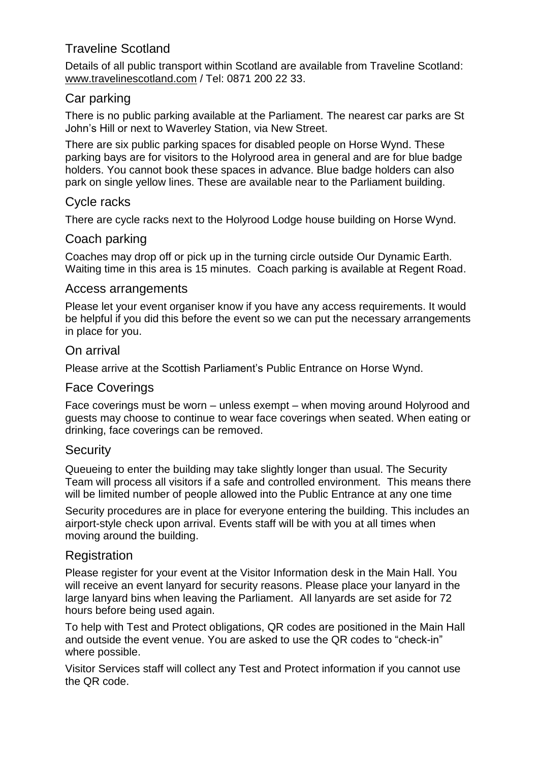# Traveline Scotland

Details of all public transport within Scotland are available from Traveline Scotland: [www.travelinescotland.com](http://www.travelinescotland.com/) / Tel: 0871 200 22 33.

# Car parking

There is no public parking available at the Parliament. The nearest car parks are St John's Hill or next to Waverley Station, via New Street.

There are six public parking spaces for disabled people on Horse Wynd. These parking bays are for visitors to the Holyrood area in general and are for blue badge holders. You cannot book these spaces in advance. Blue badge holders can also park on single yellow lines. These are available near to the Parliament building.

## Cycle racks

There are cycle racks next to the Holyrood Lodge house building on Horse Wynd.

## Coach parking

Coaches may drop off or pick up in the turning circle outside Our Dynamic Earth. Waiting time in this area is 15 minutes. Coach parking is available at Regent Road.

#### Access arrangements

Please let your event organiser know if you have any access requirements. It would be helpful if you did this before the event so we can put the necessary arrangements in place for you.

#### On arrival

Please arrive at the Scottish Parliament's Public Entrance on Horse Wynd.

## Face Coverings

Face coverings must be worn – unless exempt – when moving around Holyrood and guests may choose to continue to wear face coverings when seated. When eating or drinking, face coverings can be removed.

## **Security**

Queueing to enter the building may take slightly longer than usual. The Security Team will process all visitors if a safe and controlled environment. This means there will be limited number of people allowed into the Public Entrance at any one time

Security procedures are in place for everyone entering the building. This includes an airport-style check upon arrival. Events staff will be with you at all times when moving around the building.

## **Registration**

Please register for your event at the Visitor Information desk in the Main Hall. You will receive an event lanyard for security reasons. Please place your lanyard in the large lanyard bins when leaving the Parliament. All lanyards are set aside for 72 hours before being used again.

To help with Test and Protect obligations, QR codes are positioned in the Main Hall and outside the event venue. You are asked to use the QR codes to "check-in" where possible.

Visitor Services staff will collect any Test and Protect information if you cannot use the QR code.